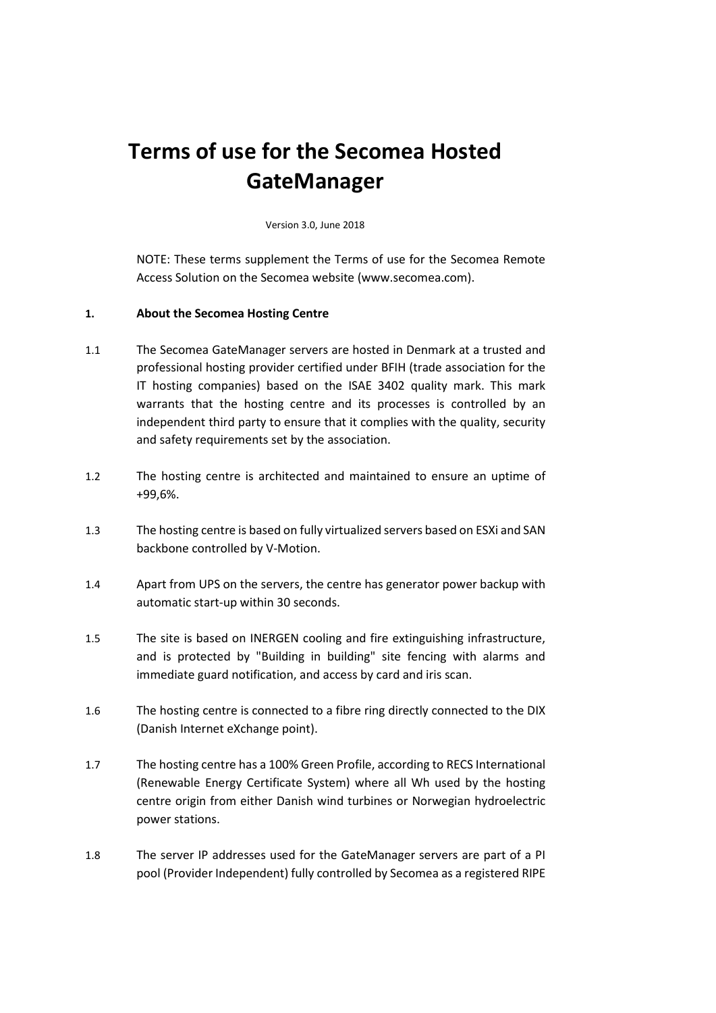# **Terms of use for the Secomea Hosted GateManager**

Version 3.0, June 2018

NOTE: These terms supplement the Terms of use for the Secomea Remote Access Solution on the Secomea website (www.secomea.com).

## **1. About the Secomea Hosting Centre**

- 1.1 The Secomea GateManager servers are hosted in Denmark at a trusted and professional hosting provider certified under BFIH (trade association for the IT hosting companies) based on the ISAE 3402 quality mark. This mark warrants that the hosting centre and its processes is controlled by an independent third party to ensure that it complies with the quality, security and safety requirements set by the association.
- 1.2 The hosting centre is architected and maintained to ensure an uptime of +99,6%.
- 1.3 The hosting centre is based on fully virtualized servers based on ESXi and SAN backbone controlled by V-Motion.
- 1.4 Apart from UPS on the servers, the centre has generator power backup with automatic start-up within 30 seconds.
- 1.5 The site is based on INERGEN cooling and fire extinguishing infrastructure, and is protected by "Building in building" site fencing with alarms and immediate guard notification, and access by card and iris scan.
- 1.6 The hosting centre is connected to a fibre ring directly connected to the DIX (Danish Internet eXchange point).
- 1.7 The hosting centre has a 100% Green Profile, according to RECS International (Renewable Energy Certificate System) where all Wh used by the hosting centre origin from either Danish wind turbines or Norwegian hydroelectric power stations.
- 1.8 The server IP addresses used for the GateManager servers are part of a PI pool (Provider Independent) fully controlled by Secomea as a registered RIPE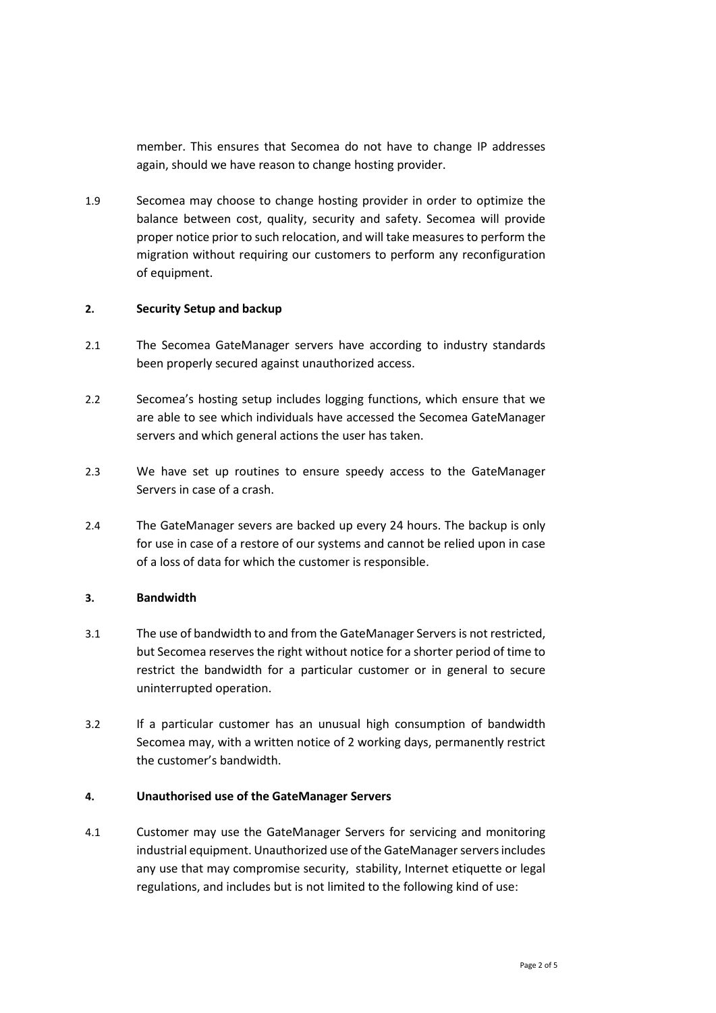member. This ensures that Secomea do not have to change IP addresses again, should we have reason to change hosting provider.

1.9 Secomea may choose to change hosting provider in order to optimize the balance between cost, quality, security and safety. Secomea will provide proper notice prior to such relocation, and will take measures to perform the migration without requiring our customers to perform any reconfiguration of equipment.

## **2. Security Setup and backup**

- 2.1 The Secomea GateManager servers have according to industry standards been properly secured against unauthorized access.
- 2.2 Secomea's hosting setup includes logging functions, which ensure that we are able to see which individuals have accessed the Secomea GateManager servers and which general actions the user has taken.
- 2.3 We have set up routines to ensure speedy access to the GateManager Servers in case of a crash.
- 2.4 The GateManager severs are backed up every 24 hours. The backup is only for use in case of a restore of our systems and cannot be relied upon in case of a loss of data for which the customer is responsible.

## **3. Bandwidth**

- 3.1 The use of bandwidth to and from the GateManager Servers is not restricted, but Secomea reserves the right without notice for a shorter period of time to restrict the bandwidth for a particular customer or in general to secure uninterrupted operation.
- 3.2 If a particular customer has an unusual high consumption of bandwidth Secomea may, with a written notice of 2 working days, permanently restrict the customer's bandwidth.

#### **4. Unauthorised use of the GateManager Servers**

4.1 Customer may use the GateManager Servers for servicing and monitoring industrial equipment. Unauthorized use of the GateManager servers includes any use that may compromise security, stability, Internet etiquette or legal regulations, and includes but is not limited to the following kind of use: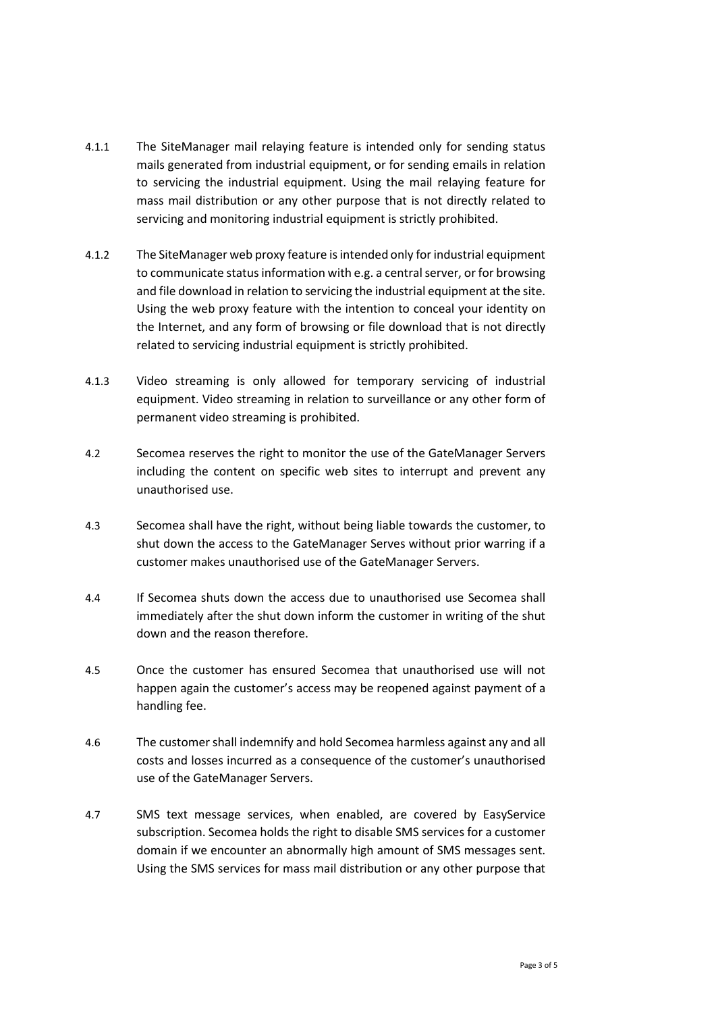- 4.1.1 The SiteManager mail relaying feature is intended only for sending status mails generated from industrial equipment, or for sending emails in relation to servicing the industrial equipment. Using the mail relaying feature for mass mail distribution or any other purpose that is not directly related to servicing and monitoring industrial equipment is strictly prohibited.
- 4.1.2 The SiteManager web proxy feature is intended only for industrial equipment to communicate status information with e.g. a central server, or for browsing and file download in relation to servicing the industrial equipment at the site. Using the web proxy feature with the intention to conceal your identity on the Internet, and any form of browsing or file download that is not directly related to servicing industrial equipment is strictly prohibited.
- 4.1.3 Video streaming is only allowed for temporary servicing of industrial equipment. Video streaming in relation to surveillance or any other form of permanent video streaming is prohibited.
- 4.2 Secomea reserves the right to monitor the use of the GateManager Servers including the content on specific web sites to interrupt and prevent any unauthorised use.
- 4.3 Secomea shall have the right, without being liable towards the customer, to shut down the access to the GateManager Serves without prior warring if a customer makes unauthorised use of the GateManager Servers.
- 4.4 If Secomea shuts down the access due to unauthorised use Secomea shall immediately after the shut down inform the customer in writing of the shut down and the reason therefore.
- 4.5 Once the customer has ensured Secomea that unauthorised use will not happen again the customer's access may be reopened against payment of a handling fee.
- 4.6 The customer shall indemnify and hold Secomea harmless against any and all costs and losses incurred as a consequence of the customer's unauthorised use of the GateManager Servers.
- 4.7 SMS text message services, when enabled, are covered by EasyService subscription. Secomea holds the right to disable SMS services for a customer domain if we encounter an abnormally high amount of SMS messages sent. Using the SMS services for mass mail distribution or any other purpose that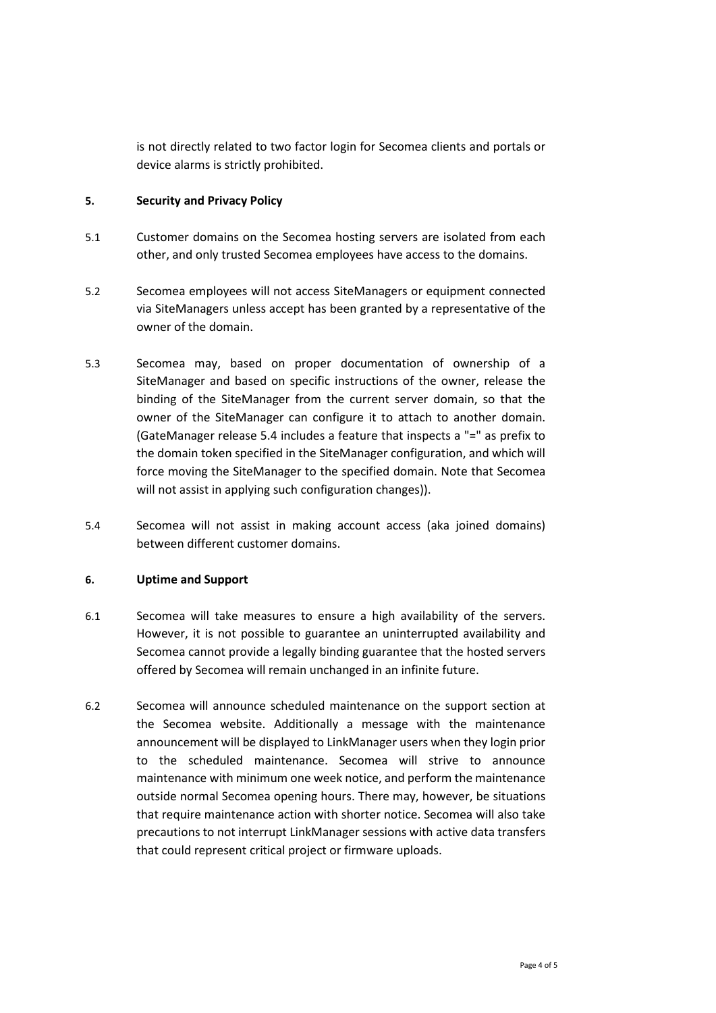is not directly related to two factor login for Secomea clients and portals or device alarms is strictly prohibited.

## **5. Security and Privacy Policy**

- 5.1 Customer domains on the Secomea hosting servers are isolated from each other, and only trusted Secomea employees have access to the domains.
- 5.2 Secomea employees will not access SiteManagers or equipment connected via SiteManagers unless accept has been granted by a representative of the owner of the domain.
- 5.3 Secomea may, based on proper documentation of ownership of a SiteManager and based on specific instructions of the owner, release the binding of the SiteManager from the current server domain, so that the owner of the SiteManager can configure it to attach to another domain. (GateManager release 5.4 includes a feature that inspects a "=" as prefix to the domain token specified in the SiteManager configuration, and which will force moving the SiteManager to the specified domain. Note that Secomea will not assist in applying such configuration changes)).
- 5.4 Secomea will not assist in making account access (aka joined domains) between different customer domains.

## **6. Uptime and Support**

- 6.1 Secomea will take measures to ensure a high availability of the servers. However, it is not possible to guarantee an uninterrupted availability and Secomea cannot provide a legally binding guarantee that the hosted servers offered by Secomea will remain unchanged in an infinite future.
- 6.2 Secomea will announce scheduled maintenance on the support section at the Secomea website. Additionally a message with the maintenance announcement will be displayed to LinkManager users when they login prior to the scheduled maintenance. Secomea will strive to announce maintenance with minimum one week notice, and perform the maintenance outside normal Secomea opening hours. There may, however, be situations that require maintenance action with shorter notice. Secomea will also take precautions to not interrupt LinkManager sessions with active data transfers that could represent critical project or firmware uploads.